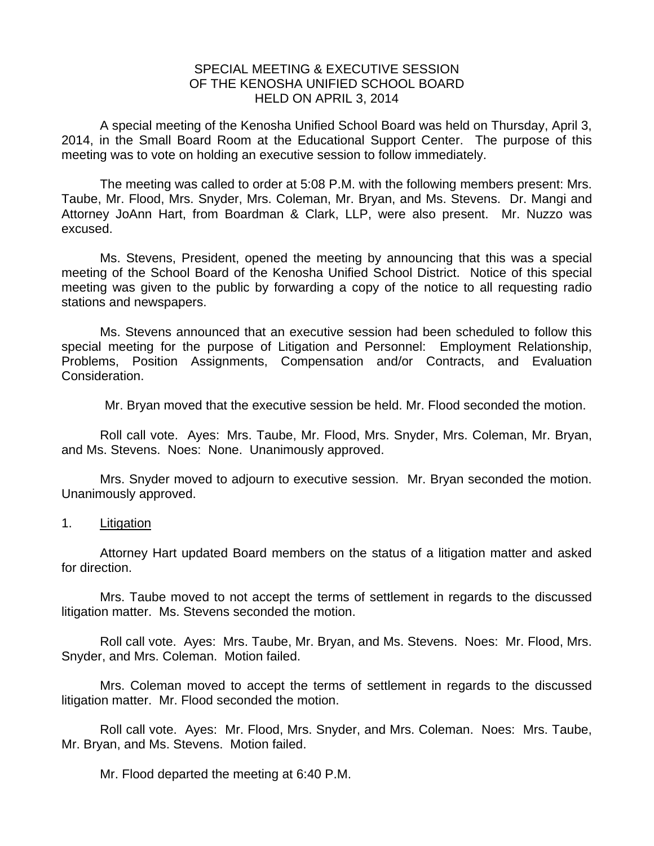## SPECIAL MEETING & EXECUTIVE SESSION OF THE KENOSHA UNIFIED SCHOOL BOARD HELD ON APRIL 3, 2014

A special meeting of the Kenosha Unified School Board was held on Thursday, April 3, 2014, in the Small Board Room at the Educational Support Center. The purpose of this meeting was to vote on holding an executive session to follow immediately.

 The meeting was called to order at 5:08 P.M. with the following members present: Mrs. Taube, Mr. Flood, Mrs. Snyder, Mrs. Coleman, Mr. Bryan, and Ms. Stevens. Dr. Mangi and Attorney JoAnn Hart, from Boardman & Clark, LLP, were also present. Mr. Nuzzo was excused.

 Ms. Stevens, President, opened the meeting by announcing that this was a special meeting of the School Board of the Kenosha Unified School District. Notice of this special meeting was given to the public by forwarding a copy of the notice to all requesting radio stations and newspapers.

 Ms. Stevens announced that an executive session had been scheduled to follow this special meeting for the purpose of Litigation and Personnel: Employment Relationship, Problems, Position Assignments, Compensation and/or Contracts, and Evaluation Consideration.

Mr. Bryan moved that the executive session be held. Mr. Flood seconded the motion.

 Roll call vote. Ayes: Mrs. Taube, Mr. Flood, Mrs. Snyder, Mrs. Coleman, Mr. Bryan, and Ms. Stevens. Noes: None. Unanimously approved.

 Mrs. Snyder moved to adjourn to executive session. Mr. Bryan seconded the motion. Unanimously approved.

1. Litigation

 Attorney Hart updated Board members on the status of a litigation matter and asked for direction.

Mrs. Taube moved to not accept the terms of settlement in regards to the discussed litigation matter. Ms. Stevens seconded the motion.

 Roll call vote. Ayes: Mrs. Taube, Mr. Bryan, and Ms. Stevens. Noes: Mr. Flood, Mrs. Snyder, and Mrs. Coleman. Motion failed.

 Mrs. Coleman moved to accept the terms of settlement in regards to the discussed litigation matter. Mr. Flood seconded the motion.

 Roll call vote. Ayes: Mr. Flood, Mrs. Snyder, and Mrs. Coleman. Noes: Mrs. Taube, Mr. Bryan, and Ms. Stevens. Motion failed.

Mr. Flood departed the meeting at 6:40 P.M.